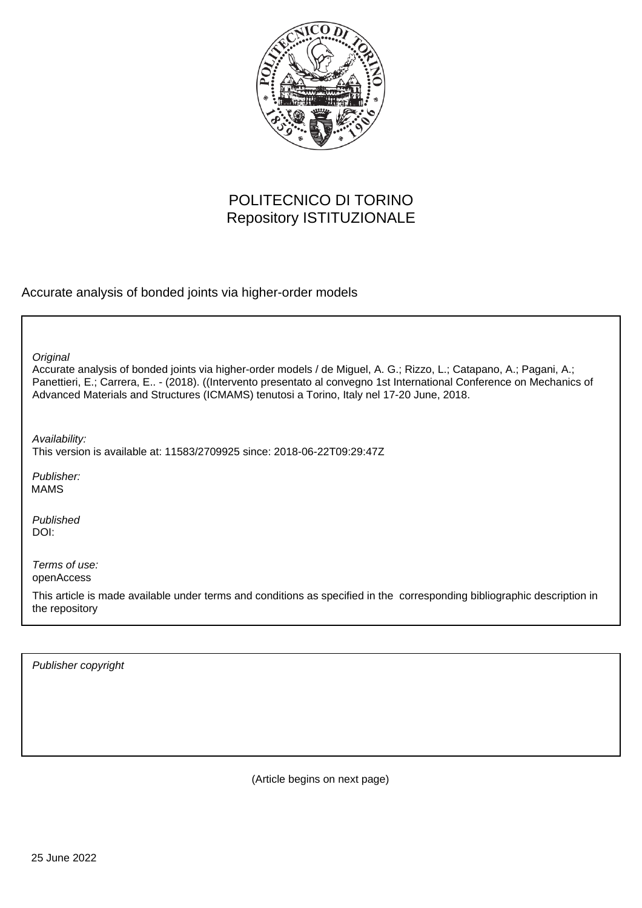

## POLITECNICO DI TORINO Repository ISTITUZIONALE

Accurate analysis of bonded joints via higher-order models

**Original** 

Accurate analysis of bonded joints via higher-order models / de Miguel, A. G.; Rizzo, L.; Catapano, A.; Pagani, A.; Panettieri, E.; Carrera, E.. - (2018). ((Intervento presentato al convegno 1st International Conference on Mechanics of Advanced Materials and Structures (ICMAMS) tenutosi a Torino, Italy nel 17-20 June, 2018.

Availability:

This version is available at: 11583/2709925 since: 2018-06-22T09:29:47Z

Publisher: MAMS

Published DOI:

Terms of use: openAccess

This article is made available under terms and conditions as specified in the corresponding bibliographic description in the repository

Publisher copyright

(Article begins on next page)